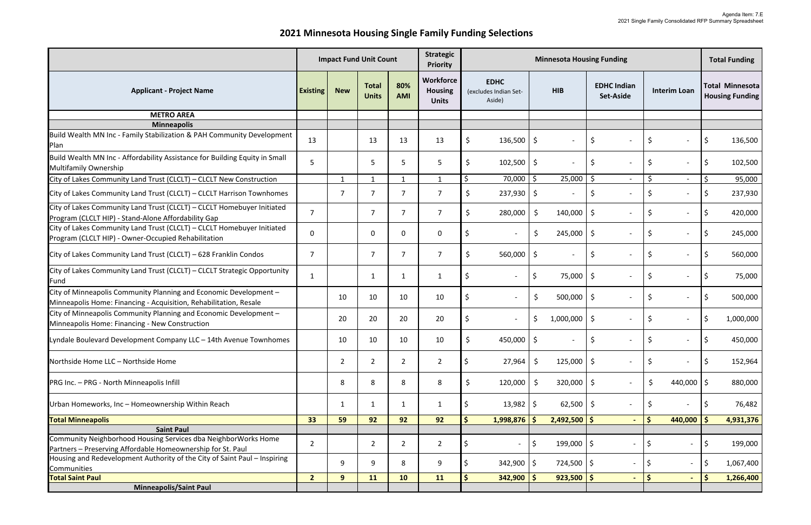## **2021 Minnesota Housing Single Family Funding Selections**

|                                                                                                                                          |                 |                | <b>Impact Fund Unit Count</b> |                   | <b>Strategic</b><br><b>Priority</b>                |    | <b>Minnesota Housing Funding</b>               |              |                          |                                        |                          |                          |                           |                    | <b>Total Funding</b>                             |  |
|------------------------------------------------------------------------------------------------------------------------------------------|-----------------|----------------|-------------------------------|-------------------|----------------------------------------------------|----|------------------------------------------------|--------------|--------------------------|----------------------------------------|--------------------------|--------------------------|---------------------------|--------------------|--------------------------------------------------|--|
| <b>Applicant - Project Name</b>                                                                                                          | <b>Existing</b> | <b>New</b>     | <b>Total</b><br><b>Units</b>  | 80%<br><b>AMI</b> | <b>Workforce</b><br><b>Housing</b><br><b>Units</b> |    | <b>EDHC</b><br>(excludes Indian Set-<br>Aside) | <b>HIB</b>   |                          | <b>EDHC Indian</b><br><b>Set-Aside</b> |                          | <b>Interim Loan</b>      |                           |                    | <b>Total Minnesota</b><br><b>Housing Funding</b> |  |
| <b>METRO AREA</b>                                                                                                                        |                 |                |                               |                   |                                                    |    |                                                |              |                          |                                        |                          |                          |                           |                    |                                                  |  |
| <b>Minneapolis</b>                                                                                                                       |                 |                |                               |                   |                                                    |    |                                                |              |                          |                                        |                          |                          |                           |                    |                                                  |  |
| Build Wealth MN Inc - Family Stabilization & PAH Community Development<br>Plan                                                           | 13              |                | 13                            | 13                | 13                                                 | \$ | 136,500                                        | \$.          | $\overline{\phantom{a}}$ |                                        |                          |                          |                           | . \$               | 136,500                                          |  |
| Build Wealth MN Inc - Affordability Assistance for Building Equity in Small<br>Multifamily Ownership                                     | 5               |                | 5                             | 5                 | 5                                                  | \$ | $102,500$   \$                                 |              |                          |                                        |                          |                          |                           |                    | 102,500                                          |  |
| City of Lakes Community Land Trust (CLCLT) - CLCLT New Construction                                                                      |                 |                |                               | $\mathbf 1$       |                                                    |    | 70,000 \$                                      |              | 25,000                   | Ŝ.                                     | $\sim$                   |                          |                           | \$                 | 95,000                                           |  |
| City of Lakes Community Land Trust (CLCLT) - CLCLT Harrison Townhomes                                                                    |                 |                | 7                             | 7                 | $\overline{7}$                                     | Ś. | $237,930$   \$                                 |              |                          |                                        |                          |                          |                           |                    | 237,930                                          |  |
| City of Lakes Community Land Trust (CLCLT) - CLCLT Homebuyer Initiated<br>Program (CLCLT HIP) - Stand-Alone Affordability Gap            | $\overline{7}$  |                | $\overline{7}$                | $\overline{7}$    | $\overline{7}$                                     | \$ | 280,000                                        | \$           | $140,000$   \$           |                                        |                          |                          |                           | \$                 | 420,000                                          |  |
| City of Lakes Community Land Trust (CLCLT) - CLCLT Homebuyer Initiated<br>Program (CLCLT HIP) - Owner-Occupied Rehabilitation            | $\mathbf 0$     |                | $\mathbf 0$                   | 0                 | $\mathbf 0$                                        |    |                                                | $\zeta$      | 245,000                  | \$                                     |                          |                          |                           |                    | 245,000                                          |  |
| City of Lakes Community Land Trust (CLCLT) - 628 Franklin Condos                                                                         |                 |                | $\overline{7}$                | 7                 | $\overline{7}$                                     | \$ | 560,000                                        | <sub>S</sub> | $\overline{\phantom{a}}$ | \$                                     |                          | <sub>S</sub>             |                           | $\zeta$            | 560,000                                          |  |
| City of Lakes Community Land Trust (CLCLT) - CLCLT Strategic Opportunity<br>Fund                                                         | $\mathbf{1}$    |                | 1                             | $\mathbf{1}$      | 1                                                  | \$ |                                                | \$           | 75,000   \$              |                                        | $\overline{\phantom{a}}$ |                          |                           |                    | 75,000                                           |  |
| City of Minneapolis Community Planning and Economic Development -<br>Minneapolis Home: Financing - Acquisition, Rehabilitation, Resale   |                 | 10             | 10                            | 10                | 10                                                 |    |                                                | \$           | 500,000                  | \$                                     |                          |                          |                           |                    | 500,000                                          |  |
| City of Minneapolis Community Planning and Economic Development -<br>Minneapolis Home: Financing - New Construction                      |                 | 20             | 20                            | 20                | 20                                                 | \$ |                                                | \$           | $1,000,000$   \$         |                                        |                          | S                        |                           | $\zeta$            | 1,000,000                                        |  |
| Lyndale Boulevard Development Company LLC - 14th Avenue Townhomes                                                                        |                 | 10             | 10                            | 10                | 10                                                 |    | $450,000$   \$                                 |              |                          |                                        |                          |                          |                           | I\$                | 450,000                                          |  |
| Northside Home LLC - Northside Home                                                                                                      |                 | $\overline{2}$ | $\overline{2}$                | $\overline{2}$    | $\overline{2}$                                     | \$ | 27,964                                         | \$           | $125,000$   \$           |                                        | $\sim$                   | \$                       | $\blacksquare$            | \$                 | 152,964                                          |  |
| PRG Inc. - PRG - North Minneapolis Infill                                                                                                |                 | 8              | 8                             | 8                 | 8                                                  | \$ | 120,000                                        | $\zeta$      | $320,000$   \$           |                                        | $\sim$                   | \$                       | 440,000 $\vert \xi \vert$ |                    | 880,000                                          |  |
| Urban Homeworks, Inc - Homeownership Within Reach                                                                                        |                 |                | -1                            | 1                 |                                                    |    | $13,982$   \$                                  |              | $62,500$   \$            |                                        |                          |                          |                           |                    | 76,482                                           |  |
| <b>Total Minneapolis</b>                                                                                                                 | 33              | 59             | 92                            | 92                | 92                                                 |    | $1,998,876$ \$                                 |              | $2,492,500$ \$           |                                        | $\blacksquare$           | Ś                        | 440,000                   | $\mathsf{\hat{S}}$ | 4,931,376                                        |  |
| <b>Saint Paul</b>                                                                                                                        |                 |                |                               |                   |                                                    |    |                                                |              |                          |                                        |                          |                          |                           |                    |                                                  |  |
| Community Neighborhood Housing Services dba NeighborWorks Home                                                                           | $\overline{2}$  |                | $\overline{2}$                | $\overline{2}$    | $\overline{2}$                                     |    | $\overline{a}$                                 | \$           | $199,000$   \$           |                                        | $\overline{\phantom{a}}$ |                          | $\frac{1}{2}$             | \$                 | 199,000                                          |  |
| Partners - Preserving Affordable Homeownership for St. Paul<br>Housing and Redevelopment Authority of the City of Saint Paul - Inspiring |                 |                |                               |                   |                                                    |    |                                                |              |                          |                                        |                          |                          |                           |                    |                                                  |  |
| Communities                                                                                                                              |                 | 9              | 9                             | 8                 | 9                                                  |    | $342,900$ \$                                   |              | 724,500 \$               |                                        | $\overline{a}$           |                          | $\overline{\phantom{a}}$  | \$                 | 1,067,400                                        |  |
| <b>Total Saint Paul</b>                                                                                                                  | $\overline{2}$  | 9 <sup>°</sup> | 11                            | 10                | 11                                                 |    | 342,900                                        | \$           | $923,500$   \$           |                                        | $\blacksquare$           | $\vert \mathsf{S} \vert$ | $\blacksquare$            | $\mathsf{S}$       | 1,266,400                                        |  |
| <b>Minneapolis/Saint Paul</b>                                                                                                            |                 |                |                               |                   |                                                    |    |                                                |              |                          |                                        |                          |                          |                           |                    |                                                  |  |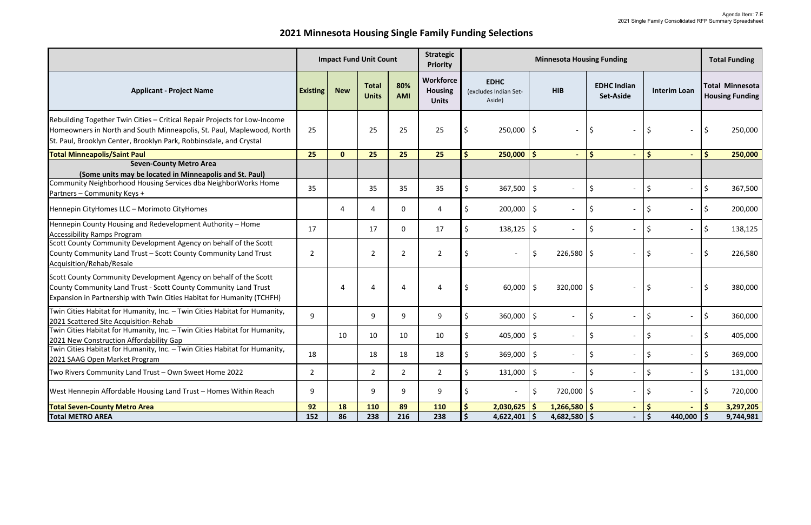## **2021 Minnesota Housing Single Family Funding Selections**

|                                                                                                                                                                                                                          |                 |              | <b>Impact Fund Unit Count</b> |                   | <b>Strategic</b><br><b>Priority</b>         | <b>Minnesota Housing Funding</b> |                                                |    |                |      |                                        |                    |                          |         | <b>Total Funding</b>                             |  |  |
|--------------------------------------------------------------------------------------------------------------------------------------------------------------------------------------------------------------------------|-----------------|--------------|-------------------------------|-------------------|---------------------------------------------|----------------------------------|------------------------------------------------|----|----------------|------|----------------------------------------|--------------------|--------------------------|---------|--------------------------------------------------|--|--|
| <b>Applicant - Project Name</b>                                                                                                                                                                                          | <b>Existing</b> | <b>New</b>   | <b>Total</b><br><b>Units</b>  | 80%<br><b>AMI</b> | Workforce<br><b>Housing</b><br><b>Units</b> |                                  | <b>EDHC</b><br>(excludes Indian Set-<br>Aside) |    | <b>HIB</b>     |      | <b>EDHC Indian</b><br><b>Set-Aside</b> |                    | <b>Interim Loan</b>      |         | <b>Total Minnesota</b><br><b>Housing Funding</b> |  |  |
| Rebuilding Together Twin Cities - Critical Repair Projects for Low-Income<br>Homeowners in North and South Minneapolis, St. Paul, Maplewood, North<br>St. Paul, Brooklyn Center, Brooklyn Park, Robbinsdale, and Crystal | 25              |              | 25                            | 25                | 25                                          |                                  | $250,000$   \$                                 |    |                |      | $\overline{\phantom{a}}$               |                    | $\blacksquare$           | $\zeta$ | 250,000                                          |  |  |
| <b>Total Minneapolis/Saint Paul</b>                                                                                                                                                                                      | 25              | $\mathbf{0}$ | 25                            | 25                | 25                                          |                                  | 250,000                                        | Ŝ. |                | Ś.   |                                        | $\dot{\mathsf{S}}$ |                          | Ŝ.      | 250,000                                          |  |  |
| <b>Seven-County Metro Area</b><br>(Some units may be located in Minneapolis and St. Paul)                                                                                                                                |                 |              |                               |                   |                                             |                                  |                                                |    |                |      |                                        |                    |                          |         |                                                  |  |  |
| Community Neighborhood Housing Services dba NeighborWorks Home<br>Partners - Community Keys +                                                                                                                            | 35              |              | 35                            | 35                | 35                                          | \$                               | $367,500$ \$                                   |    |                |      | $\overline{a}$                         |                    |                          | \$      | 367,500                                          |  |  |
| Hennepin CityHomes LLC - Morimoto CityHomes                                                                                                                                                                              |                 |              | 4                             | $\mathbf{0}$      | 4                                           |                                  | 200,000                                        | \$ |                |      | $\overline{\phantom{a}}$               |                    | $\overline{\phantom{a}}$ | \$      | 200,000                                          |  |  |
| Hennepin County Housing and Redevelopment Authority - Home<br><b>Accessibility Ramps Program</b>                                                                                                                         | 17              |              | 17                            | $\mathbf 0$       | 17                                          |                                  | $138,125$ \$                                   |    | $\sim$         |      | $\blacksquare$                         |                    | $\overline{\phantom{a}}$ | \$      | 138,125                                          |  |  |
| Scott County Community Development Agency on behalf of the Scott<br>County Community Land Trust - Scott County Community Land Trust<br>Acquisition/Rehab/Resale                                                          | $\overline{2}$  |              | $\overline{2}$                | $\overline{2}$    | $\overline{2}$                              |                                  |                                                | \$ | $226,580$ \$   |      | $\overline{\phantom{a}}$               |                    | $\overline{\phantom{a}}$ | \$      | 226,580                                          |  |  |
| Scott County Community Development Agency on behalf of the Scott<br>County Community Land Trust - Scott County Community Land Trust<br>Expansion in Partnership with Twin Cities Habitat for Humanity (TCHFH)            |                 |              | 4                             | 4                 |                                             |                                  | $60,000$   \$                                  |    | $320,000$   \$ |      | $\overline{\phantom{a}}$               |                    | $\overline{\phantom{a}}$ | $\zeta$ | 380,000                                          |  |  |
| Twin Cities Habitat for Humanity, Inc. - Twin Cities Habitat for Humanity,<br>2021 Scattered Site Acquisition-Rehab                                                                                                      | 9               |              | 9                             | 9                 | 9                                           |                                  | $360,000$ \$                                   |    | $\sim$         |      | $\overline{\phantom{0}}$               |                    | $\blacksquare$           | \$      | 360,000                                          |  |  |
| Twin Cities Habitat for Humanity, Inc. - Twin Cities Habitat for Humanity,<br>2021 New Construction Affordability Gap                                                                                                    |                 | 10           | 10                            | 10                | 10                                          |                                  | $405,000$   \$                                 |    | $\blacksquare$ |      | $\overline{\phantom{a}}$               |                    | $\overline{\phantom{a}}$ | S.      | 405,000                                          |  |  |
| Twin Cities Habitat for Humanity, Inc. - Twin Cities Habitat for Humanity,<br>2021 SAAG Open Market Program                                                                                                              | 18              |              | 18                            | 18                | 18                                          | $\zeta$                          | $369,000$   \$                                 |    | $\sim$         | l \$ | $\blacksquare$                         | \$                 | $\blacksquare$           | \$      | 369,000                                          |  |  |
| Two Rivers Community Land Trust - Own Sweet Home 2022                                                                                                                                                                    | $\overline{2}$  |              | $\overline{2}$                | $\overline{2}$    | $2^{\circ}$                                 | \$                               | $131,000$   \$                                 |    | $\sim$         |      | $\blacksquare$                         | \$                 | $\blacksquare$           | \$      | 131,000                                          |  |  |
| West Hennepin Affordable Housing Land Trust - Homes Within Reach                                                                                                                                                         | 9               |              | 9                             | 9                 | 9                                           |                                  | $\blacksquare$                                 | \$ | 720,000 \$     |      | $\qquad \qquad \blacksquare$           |                    | $\overline{\phantom{a}}$ |         | 720,000                                          |  |  |
| <b>Total Seven-County Metro Area</b>                                                                                                                                                                                     | 92              | 18           | <b>110</b>                    | 89                | <b>110</b>                                  |                                  | $2,030,625$   \$                               |    | $1,266,580$ \$ |      | $\blacksquare$                         | $\mathsf{S}$       |                          |         | 3,297,205                                        |  |  |
| <b>Total METRO AREA</b>                                                                                                                                                                                                  | 152             | 86           | 238                           | 216               | 238                                         |                                  | $4,622,401$   \$                               |    | $4,682,580$ \$ |      | $\blacksquare$                         | \$                 | 440,000 $\vert \$$       |         | 9,744,981                                        |  |  |